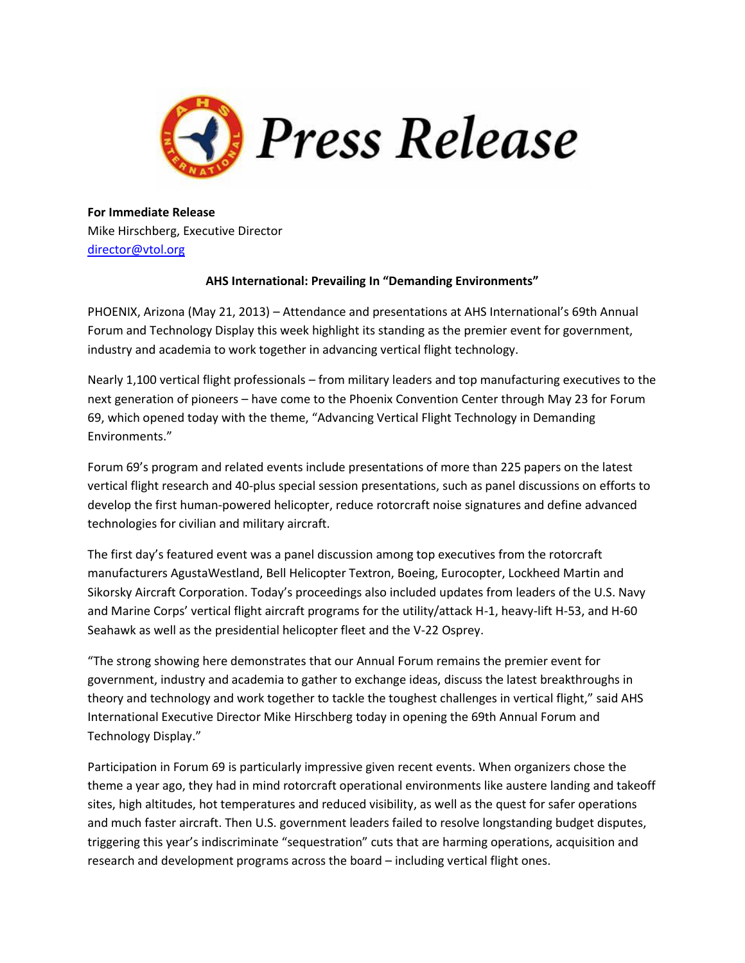

**For Immediate Release** Mike Hirschberg, Executive Director [director@vtol.org](mailto:director@vtol.org) 

## **AHS International: Prevailing In "Demanding Environments"**

PHOENIX, Arizona (May 21, 2013) – Attendance and presentations at AHS International's 69th Annual Forum and Technology Display this week highlight its standing as the premier event for government, industry and academia to work together in advancing vertical flight technology.

Nearly 1,100 vertical flight professionals – from military leaders and top manufacturing executives to the next generation of pioneers – have come to the Phoenix Convention Center through May 23 for Forum 69, which opened today with the theme, "Advancing Vertical Flight Technology in Demanding Environments."

Forum 69's program and related events include presentations of more than 225 papers on the latest vertical flight research and 40-plus special session presentations, such as panel discussions on efforts to develop the first human-powered helicopter, reduce rotorcraft noise signatures and define advanced technologies for civilian and military aircraft.

The first day's featured event was a panel discussion among top executives from the rotorcraft manufacturers AgustaWestland, Bell Helicopter Textron, Boeing, Eurocopter, Lockheed Martin and Sikorsky Aircraft Corporation. Today's proceedings also included updates from leaders of the U.S. Navy and Marine Corps' vertical flight aircraft programs for the utility/attack H-1, heavy-lift H-53, and H-60 Seahawk as well as the presidential helicopter fleet and the V-22 Osprey.

"The strong showing here demonstrates that our Annual Forum remains the premier event for government, industry and academia to gather to exchange ideas, discuss the latest breakthroughs in theory and technology and work together to tackle the toughest challenges in vertical flight," said AHS International Executive Director Mike Hirschberg today in opening the 69th Annual Forum and Technology Display."

Participation in Forum 69 is particularly impressive given recent events. When organizers chose the theme a year ago, they had in mind rotorcraft operational environments like austere landing and takeoff sites, high altitudes, hot temperatures and reduced visibility, as well as the quest for safer operations and much faster aircraft. Then U.S. government leaders failed to resolve longstanding budget disputes, triggering this year's indiscriminate "sequestration" cuts that are harming operations, acquisition and research and development programs across the board – including vertical flight ones.